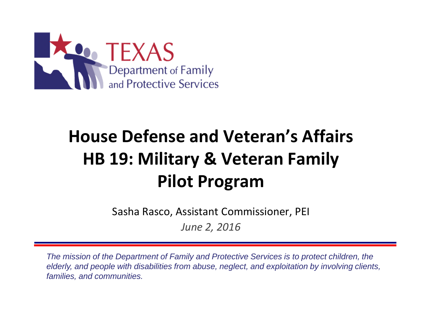

# **House Defense and Veteran's Affairs HB 19: Military & Veteran Family Pilot Program**

Sasha Rasco, Assistant Commissioner, PEI

*June 2, 2016*

*The mission of the Department of Family and Protective Services is to protect children, the elderly, and people with disabilities from abuse, neglect, and exploitation by involving clients, families, and communities.*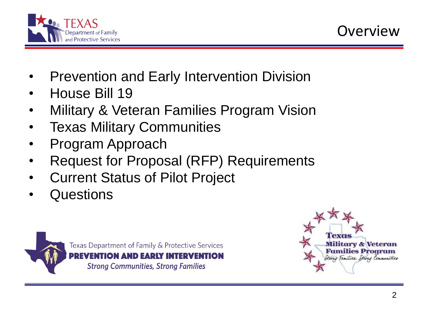

- Prevention and Early Intervention Division
- House Bill 19
- Military & Veteran Families Program Vision
- **Texas Military Communities**
- Program Approach
- Request for Proposal (RFP) Requirements
- Current Status of Pilot Project
- Questions



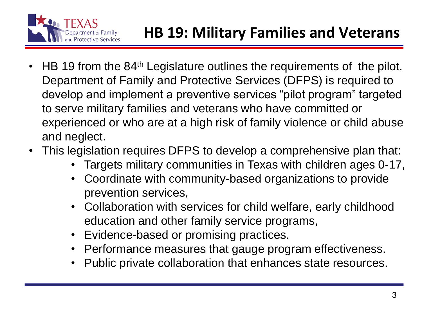

- HB 19 from the 84<sup>th</sup> Legislature outlines the requirements of the pilot. Department of Family and Protective Services (DFPS) is required to develop and implement a preventive services "pilot program" targeted to serve military families and veterans who have committed or experienced or who are at a high risk of family violence or child abuse and neglect.
- This legislation requires DFPS to develop a comprehensive plan that:
	- Targets military communities in Texas with children ages 0-17,
	- Coordinate with community-based organizations to provide prevention services,
	- Collaboration with services for child welfare, early childhood education and other family service programs,
	- Evidence-based or promising practices.
	- Performance measures that gauge program effectiveness.
	- Public private collaboration that enhances state resources.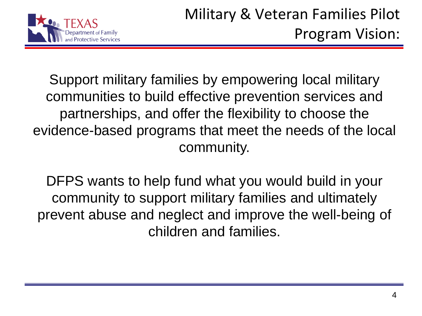

Support military families by empowering local military communities to build effective prevention services and partnerships, and offer the flexibility to choose the evidence-based programs that meet the needs of the local community.

DFPS wants to help fund what you would build in your community to support military families and ultimately prevent abuse and neglect and improve the well-being of children and families.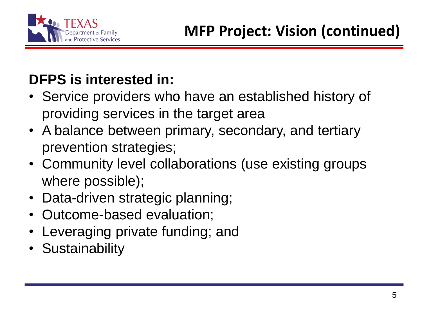

## **DFPS is interested in:**

- Service providers who have an established history of providing services in the target area
- A balance between primary, secondary, and tertiary prevention strategies;
- Community level collaborations (use existing groups where possible);
- Data-driven strategic planning;
- Outcome-based evaluation;
- Leveraging private funding; and
- Sustainability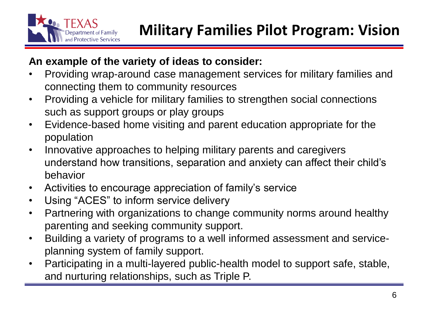

#### **An example of the variety of ideas to consider:**

- Providing wrap-around case management services for military families and connecting them to community resources
- Providing a vehicle for military families to strengthen social connections such as support groups or play groups
- Evidence-based home visiting and parent education appropriate for the population
- Innovative approaches to helping military parents and caregivers understand how transitions, separation and anxiety can affect their child's behavior
- Activities to encourage appreciation of family's service
- Using "ACES" to inform service delivery
- Partnering with organizations to change community norms around healthy parenting and seeking community support.
- Building a variety of programs to a well informed assessment and serviceplanning system of family support.
- Participating in a multi-layered public-health model to support safe, stable, and nurturing relationships, such as Triple P.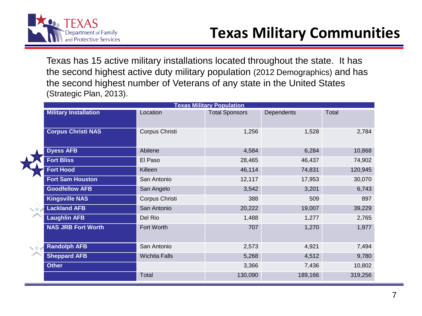

Texas has 15 active military installations located throughout the state. It has the second highest active duty military population (2012 Demographics) and has the second highest number of Veterans of any state in the United States (Strategic Plan, 2013).

| <b>Texas Military Population</b> |                      |                       |                   |         |
|----------------------------------|----------------------|-----------------------|-------------------|---------|
| <b>Military Installation</b>     | Location             | <b>Total Sponsors</b> | <b>Dependents</b> | Total   |
| <b>Corpus Christi NAS</b>        | Corpus Christi       | 1,256                 | 1,528             | 2,784   |
| <b>Dyess AFB</b>                 | Abilene              | 4,584                 | 6,284             | 10,868  |
| <b>Fort Bliss</b>                | El Paso              | 28,465                | 46,437            | 74,902  |
| <b>Fort Hood</b>                 | Killeen              | 46,114                | 74,831            | 120,945 |
| <b>Fort Sam Houston</b>          | San Antonio          | 12,117                | 17,953            | 30,070  |
| <b>Goodfellow AFB</b>            | San Angelo           | 3,542                 | 3,201             | 6,743   |
| <b>Kingsville NAS</b>            | Corpus Christi       | 388                   | 509               | 897     |
| <b>Lackland AFB</b>              | San Antonio          | 20,222                | 19,007            | 39,229  |
| <b>Laughlin AFB</b>              | Del Rio              | 1,488                 | 1,277             | 2,765   |
| <b>NAS JRB Fort Worth</b>        | Fort Worth           | 707                   | 1,270             | 1,977   |
| <b>Randolph AFB</b>              | San Antonio          | 2,573                 | 4,921             | 7,494   |
| <b>Sheppard AFB</b>              | <b>Wichita Falls</b> | 5,268                 | 4,512             | 9,780   |
| <b>Other</b>                     |                      | 3,366                 | 7,436             | 10,802  |
|                                  | Total                | 130,090               | 189,166           | 319,256 |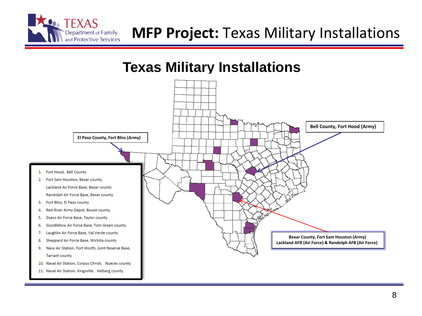

#### **Texas Military Installations**

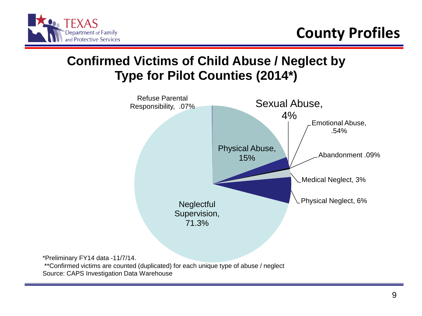

#### **Confirmed Victims of Child Abuse / Neglect by Type for Pilot Counties (2014\*)**



\*\*Confirmed victims are counted (duplicated) for each unique type of abuse / neglect Source: CAPS Investigation Data Warehouse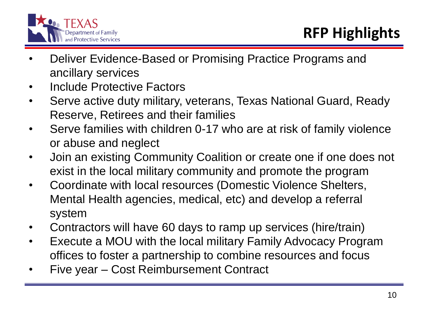

- Deliver Evidence-Based or Promising Practice Programs and ancillary services
- Include Protective Factors
- Serve active duty military, veterans, Texas National Guard, Ready Reserve, Retirees and their families
- Serve families with children 0-17 who are at risk of family violence or abuse and neglect
- Join an existing Community Coalition or create one if one does not exist in the local military community and promote the program
- Coordinate with local resources (Domestic Violence Shelters, Mental Health agencies, medical, etc) and develop a referral system
- Contractors will have 60 days to ramp up services (hire/train)
- Execute a MOU with the local military Family Advocacy Program offices to foster a partnership to combine resources and focus
- Five year Cost Reimbursement Contract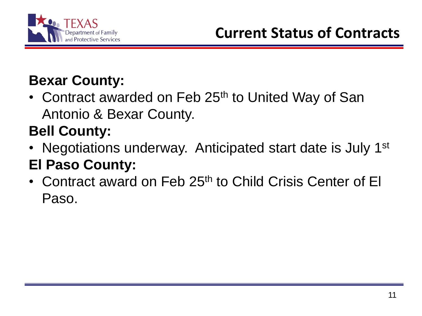

## **Bexar County:**

• Contract awarded on Feb 25<sup>th</sup> to United Way of San Antonio & Bexar County.

## **Bell County:**

- Negotiations underway. Anticipated start date is July 1<sup>st</sup> **El Paso County:**
- Contract award on Feb 25<sup>th</sup> to Child Crisis Center of El Paso.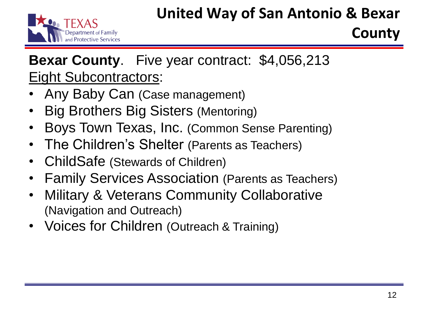## **United Way of San Antonio & Bexar**



## **County**

## **Bexar County**. Five year contract: \$4,056,213 Eight Subcontractors:

- Any Baby Can (Case management)
- Big Brothers Big Sisters (Mentoring)
- Boys Town Texas, Inc. (Common Sense Parenting)
- The Children's Shelter (Parents as Teachers)
- ChildSafe (Stewards of Children)
- Family Services Association (Parents as Teachers)
- Military & Veterans Community Collaborative (Navigation and Outreach)
- Voices for Children (Outreach & Training)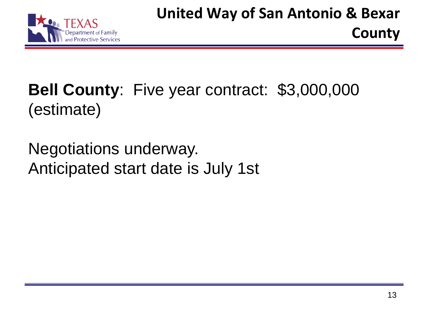# **Bell County**: Five year contract: \$3,000,000 (estimate)

Negotiations underway. Anticipated start date is July 1st **County**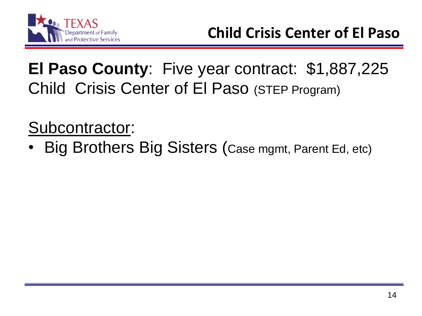

# **El Paso County**: Five year contract: \$1,887,225 Child Crisis Center of El Paso (STEP Program)

Subcontractor:

• Big Brothers Big Sisters (Case mgmt, Parent Ed, etc)